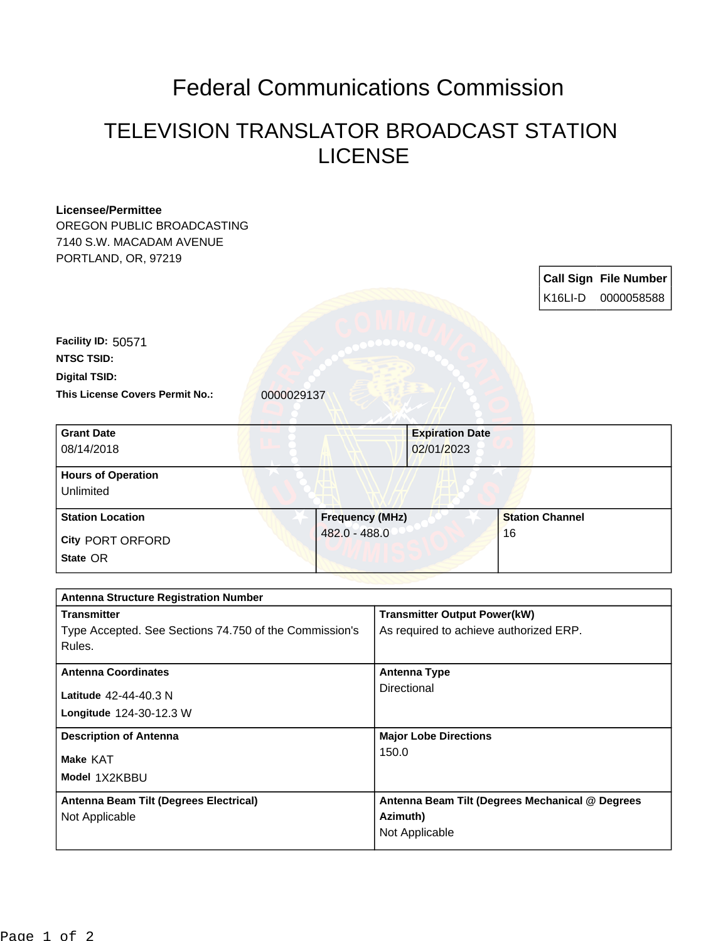## Federal Communications Commission

## TELEVISION TRANSLATOR BROADCAST STATION LICENSE

| <b>Licensee/Permittee</b>                                          |                        |                                                                               |                                                 |                      |                              |  |
|--------------------------------------------------------------------|------------------------|-------------------------------------------------------------------------------|-------------------------------------------------|----------------------|------------------------------|--|
| OREGON PUBLIC BROADCASTING                                         |                        |                                                                               |                                                 |                      |                              |  |
| 7140 S.W. MACADAM AVENUE                                           |                        |                                                                               |                                                 |                      |                              |  |
| PORTLAND, OR, 97219                                                |                        |                                                                               |                                                 |                      |                              |  |
|                                                                    |                        |                                                                               |                                                 |                      | <b>Call Sign File Number</b> |  |
|                                                                    |                        |                                                                               |                                                 | K <sub>16</sub> LI-D | 0000058588                   |  |
|                                                                    |                        |                                                                               |                                                 |                      |                              |  |
| Facility ID: 50571                                                 |                        |                                                                               |                                                 |                      |                              |  |
| <b>NTSC TSID:</b>                                                  |                        |                                                                               |                                                 |                      |                              |  |
| <b>Digital TSID:</b>                                               |                        |                                                                               |                                                 |                      |                              |  |
| <b>This License Covers Permit No.:</b>                             | 0000029137             |                                                                               |                                                 |                      |                              |  |
|                                                                    |                        |                                                                               |                                                 |                      |                              |  |
| <b>Grant Date</b>                                                  |                        |                                                                               | <b>Expiration Date</b>                          |                      |                              |  |
| 08/14/2018                                                         |                        |                                                                               | 02/01/2023                                      |                      |                              |  |
|                                                                    |                        |                                                                               |                                                 |                      |                              |  |
| <b>Hours of Operation</b>                                          |                        |                                                                               |                                                 |                      |                              |  |
| Unlimited                                                          |                        |                                                                               |                                                 |                      |                              |  |
| <b>Station Location</b>                                            | <b>Frequency (MHz)</b> |                                                                               | <b>Station Channel</b>                          |                      |                              |  |
| <b>City PORT ORFORD</b>                                            | 482.0 - 488.0          | 16                                                                            |                                                 |                      |                              |  |
| State OR                                                           |                        |                                                                               |                                                 |                      |                              |  |
|                                                                    |                        |                                                                               |                                                 |                      |                              |  |
|                                                                    |                        |                                                                               |                                                 |                      |                              |  |
| <b>Antenna Structure Registration Number</b><br><b>Transmitter</b> |                        |                                                                               |                                                 |                      |                              |  |
| Type Accepted. See Sections 74.750 of the Commission's             |                        | <b>Transmitter Output Power(kW)</b><br>As required to achieve authorized ERP. |                                                 |                      |                              |  |
| Rules.                                                             |                        |                                                                               |                                                 |                      |                              |  |
|                                                                    |                        |                                                                               |                                                 |                      |                              |  |
| <b>Antenna Coordinates</b>                                         |                        |                                                                               | <b>Antenna Type</b>                             |                      |                              |  |
| Latitude 42-44-40.3 N                                              |                        | Directional                                                                   |                                                 |                      |                              |  |
| Longitude 124-30-12.3 W                                            |                        |                                                                               |                                                 |                      |                              |  |
|                                                                    |                        |                                                                               |                                                 |                      |                              |  |
| <b>Description of Antenna</b>                                      |                        | <b>Major Lobe Directions</b><br>150.0                                         |                                                 |                      |                              |  |
| Make KAT                                                           |                        |                                                                               |                                                 |                      |                              |  |
| Model 1X2KBBU                                                      |                        |                                                                               |                                                 |                      |                              |  |
| Antenna Beam Tilt (Degrees Electrical)                             |                        |                                                                               | Antenna Beam Tilt (Degrees Mechanical @ Degrees |                      |                              |  |
| Not Applicable                                                     |                        | Azimuth)                                                                      |                                                 |                      |                              |  |
|                                                                    |                        | Not Applicable                                                                |                                                 |                      |                              |  |